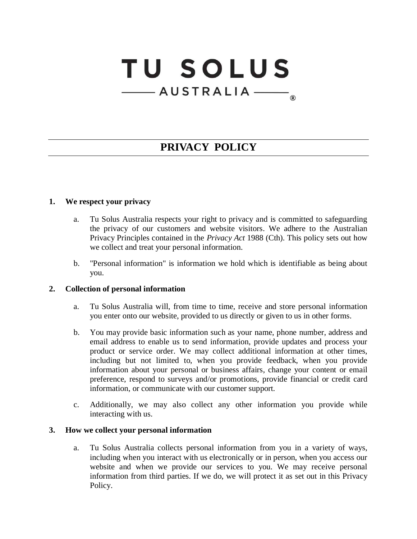# **TU SOLUS** -AUSTRALIA **®**

# **PRIVACY POLICY**

#### **1. We respect your privacy**

- a. Tu Solus Australia respects your right to privacy and is committed to safeguarding the privacy of our customers and website visitors. We adhere to the Australian Privacy Principles contained in the *Privacy Act* 1988 (Cth). This policy sets out how we collect and treat your personal information.
- b. "Personal information" is information we hold which is identifiable as being about you.

#### **2. Collection of personal information**

- a. Tu Solus Australia will, from time to time, receive and store personal information you enter onto our website, provided to us directly or given to us in other forms.
- b. You may provide basic information such as your name, phone number, address and email address to enable us to send information, provide updates and process your product or service order. We may collect additional information at other times, including but not limited to, when you provide feedback, when you provide information about your personal or business affairs, change your content or email preference, respond to surveys and/or promotions, provide financial or credit card information, or communicate with our customer support.
- c. Additionally, we may also collect any other information you provide while interacting with us.

#### **3. How we collect your personal information**

a. Tu Solus Australia collects personal information from you in a variety of ways, including when you interact with us electronically or in person, when you access our website and when we provide our services to you. We may receive personal information from third parties. If we do, we will protect it as set out in this Privacy Policy.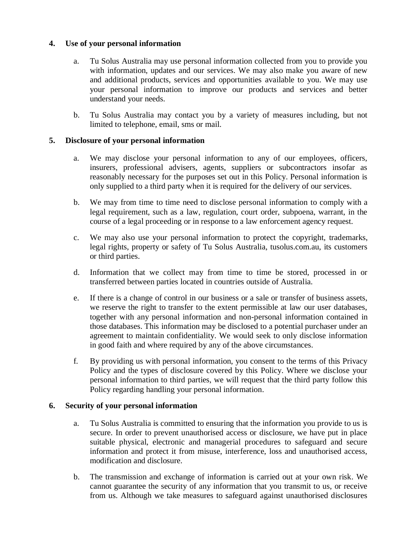# **4. Use of your personal information**

- a. Tu Solus Australia may use personal information collected from you to provide you with information, updates and our services. We may also make you aware of new and additional products, services and opportunities available to you. We may use your personal information to improve our products and services and better understand your needs.
- b. Tu Solus Australia may contact you by a variety of measures including, but not limited to telephone, email, sms or mail.

# **5. Disclosure of your personal information**

- a. We may disclose your personal information to any of our employees, officers, insurers, professional advisers, agents, suppliers or subcontractors insofar as reasonably necessary for the purposes set out in this Policy. Personal information is only supplied to a third party when it is required for the delivery of our services.
- b. We may from time to time need to disclose personal information to comply with a legal requirement, such as a law, regulation, court order, subpoena, warrant, in the course of a legal proceeding or in response to a law enforcement agency request.
- c. We may also use your personal information to protect the copyright, trademarks, legal rights, property or safety of Tu Solus Australia, tusolus.com.au, its customers or third parties.
- d. Information that we collect may from time to time be stored, processed in or transferred between parties located in countries outside of Australia.
- e. If there is a change of control in our business or a sale or transfer of business assets, we reserve the right to transfer to the extent permissible at law our user databases, together with any personal information and non-personal information contained in those databases. This information may be disclosed to a potential purchaser under an agreement to maintain confidentiality. We would seek to only disclose information in good faith and where required by any of the above circumstances.
- f. By providing us with personal information, you consent to the terms of this Privacy Policy and the types of disclosure covered by this Policy. Where we disclose your personal information to third parties, we will request that the third party follow this Policy regarding handling your personal information.

#### **6. Security of your personal information**

- a. Tu Solus Australia is committed to ensuring that the information you provide to us is secure. In order to prevent unauthorised access or disclosure, we have put in place suitable physical, electronic and managerial procedures to safeguard and secure information and protect it from misuse, interference, loss and unauthorised access, modification and disclosure.
- b. The transmission and exchange of information is carried out at your own risk. We cannot guarantee the security of any information that you transmit to us, or receive from us. Although we take measures to safeguard against unauthorised disclosures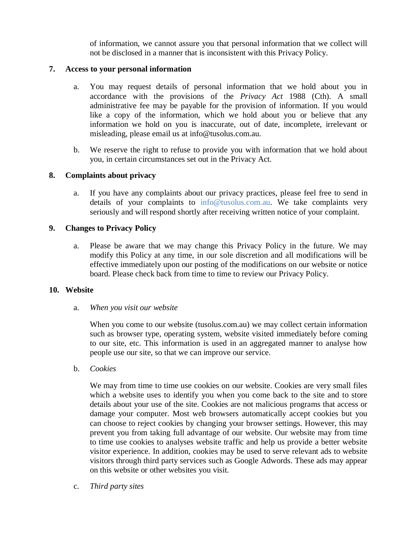of information, we cannot assure you that personal information that we collect will not be disclosed in a manner that is inconsistent with this Privacy Policy.

#### **7. Access to your personal information**

- a. You may request details of personal information that we hold about you in accordance with the provisions of the *Privacy Act* 1988 (Cth). A small administrative fee may be payable for the provision of information. If you would like a copy of the information, which we hold about you or believe that any information we hold on you is inaccurate, out of date, incomplete, irrelevant or misleading, please email us at info@tusolus.com.au.
- b. We reserve the right to refuse to provide you with information that we hold about you, in certain circumstances set out in the Privacy Act.

# **8. Complaints about privacy**

a. If you have any complaints about our privacy practices, please feel free to send in details of your complaints to [info@tusolus.com.au.](mailto:info@tusolus.com.au) We take complaints very seriously and will respond shortly after receiving written notice of your complaint.

# **9. Changes to Privacy Policy**

a. Please be aware that we may change this Privacy Policy in the future. We may modify this Policy at any time, in our sole discretion and all modifications will be effective immediately upon our posting of the modifications on our website or notice board. Please check back from time to time to review our Privacy Policy.

#### **10. Website**

#### a. *When you visit our website*

When you come to our website (tusolus.com.au) we may collect certain information such as browser type, operating system, website visited immediately before coming to our site, etc. This information is used in an aggregated manner to analyse how people use our site, so that we can improve our service.

b. *Cookies*

We may from time to time use cookies on our website. Cookies are very small files which a website uses to identify you when you come back to the site and to store details about your use of the site. Cookies are not malicious programs that access or damage your computer. Most web browsers automatically accept cookies but you can choose to reject cookies by changing your browser settings. However, this may prevent you from taking full advantage of our website. Our website may from time to time use cookies to analyses website traffic and help us provide a better website visitor experience. In addition, cookies may be used to serve relevant ads to website visitors through third party services such as Google Adwords. These ads may appear on this website or other websites you visit.

c. *Third party sites*